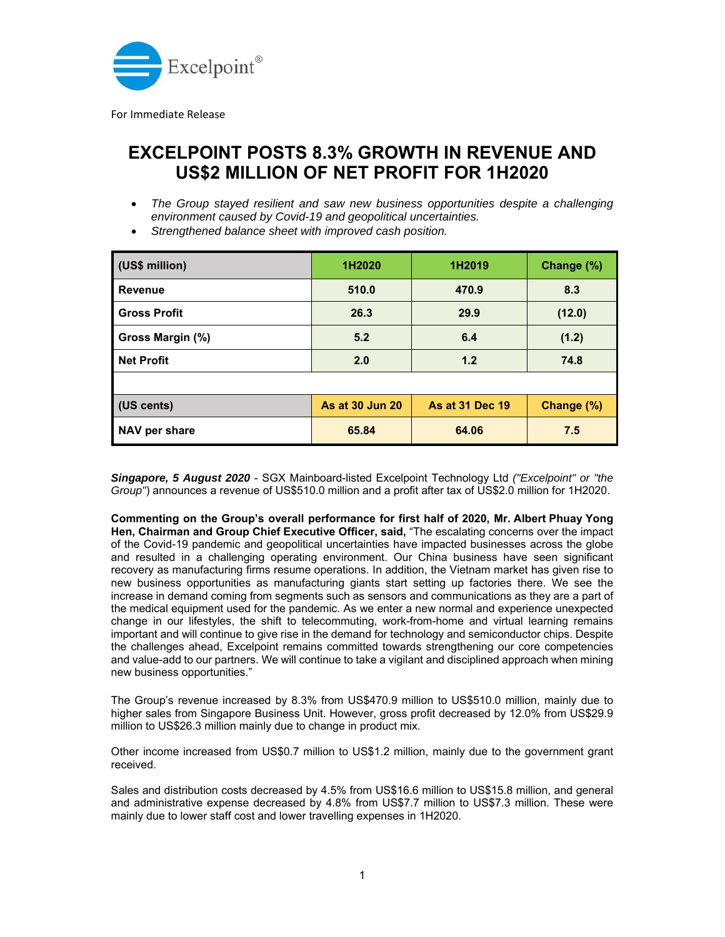

For Immediate Release

# **EXCELPOINT POSTS 8.3% GROWTH IN REVENUE AND US\$2 MILLION OF NET PROFIT FOR 1H2020**

- The Group stayed resilient and saw new business opportunities despite a challenging *environment caused by Covid-19 and geopolitical uncertainties.*
- *Strengthened balance sheet with improved cash position.*

| (US\$ million)      | 1H2020                 | 1H2019                 | Change (%) |
|---------------------|------------------------|------------------------|------------|
| <b>Revenue</b>      | 510.0                  | 470.9                  | 8.3        |
| <b>Gross Profit</b> | 26.3                   | 29.9                   | (12.0)     |
| Gross Margin (%)    | 5.2                    | 6.4                    | (1.2)      |
| <b>Net Profit</b>   | 2.0                    | 1.2                    | 74.8       |
|                     |                        |                        |            |
| (US cents)          | <b>As at 30 Jun 20</b> | <b>As at 31 Dec 19</b> | Change (%) |
| NAV per share       | 65.84                  | 64.06                  | 7.5        |

*Singapore, 5 August 2020* - SGX Mainboard-listed Excelpoint Technology Ltd *("Excelpoint" or "the Group"*) announces a revenue of US\$510.0 million and a profit after tax of US\$2.0 million for 1H2020.

**Commenting on the Group's overall performance for first half of 2020, Mr. Albert Phuay Yong Hen, Chairman and Group Chief Executive Officer, said,** "The escalating concerns over the impact of the Covid-19 pandemic and geopolitical uncertainties have impacted businesses across the globe and resulted in a challenging operating environment. Our China business have seen significant recovery as manufacturing firms resume operations. In addition, the Vietnam market has given rise to new business opportunities as manufacturing giants start setting up factories there. We see the increase in demand coming from segments such as sensors and communications as they are a part of the medical equipment used for the pandemic. As we enter a new normal and experience unexpected change in our lifestyles, the shift to telecommuting, work-from-home and virtual learning remains important and will continue to give rise in the demand for technology and semiconductor chips. Despite the challenges ahead, Excelpoint remains committed towards strengthening our core competencies and value-add to our partners. We will continue to take a vigilant and disciplined approach when mining new business opportunities."

The Group's revenue increased by 8.3% from US\$470.9 million to US\$510.0 million, mainly due to higher sales from Singapore Business Unit. However, gross profit decreased by 12.0% from US\$29.9 million to US\$26.3 million mainly due to change in product mix.

Other income increased from US\$0.7 million to US\$1.2 million, mainly due to the government grant received.

Sales and distribution costs decreased by 4.5% from US\$16.6 million to US\$15.8 million, and general and administrative expense decreased by 4.8% from US\$7.7 million to US\$7.3 million. These were mainly due to lower staff cost and lower travelling expenses in 1H2020.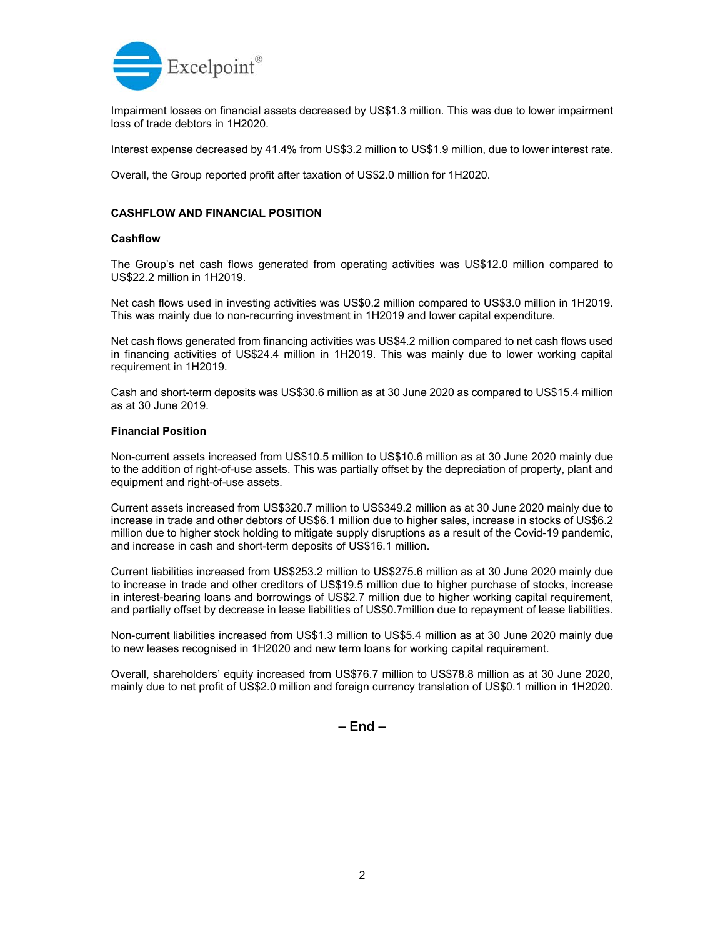

Impairment losses on financial assets decreased by US\$1.3 million. This was due to lower impairment loss of trade debtors in 1H2020.

Interest expense decreased by 41.4% from US\$3.2 million to US\$1.9 million, due to lower interest rate.

Overall, the Group reported profit after taxation of US\$2.0 million for 1H2020.

# **CASHFLOW AND FINANCIAL POSITION**

### **Cashflow**

The Group's net cash flows generated from operating activities was US\$12.0 million compared to US\$22.2 million in 1H2019.

Net cash flows used in investing activities was US\$0.2 million compared to US\$3.0 million in 1H2019. This was mainly due to non-recurring investment in 1H2019 and lower capital expenditure.

Net cash flows generated from financing activities was US\$4.2 million compared to net cash flows used in financing activities of US\$24.4 million in 1H2019. This was mainly due to lower working capital requirement in 1H2019.

Cash and short-term deposits was US\$30.6 million as at 30 June 2020 as compared to US\$15.4 million as at 30 June 2019.

## **Financial Position**

Non-current assets increased from US\$10.5 million to US\$10.6 million as at 30 June 2020 mainly due to the addition of right-of-use assets. This was partially offset by the depreciation of property, plant and equipment and right-of-use assets.

Current assets increased from US\$320.7 million to US\$349.2 million as at 30 June 2020 mainly due to increase in trade and other debtors of US\$6.1 million due to higher sales, increase in stocks of US\$6.2 million due to higher stock holding to mitigate supply disruptions as a result of the Covid-19 pandemic, and increase in cash and short-term deposits of US\$16.1 million.

Current liabilities increased from US\$253.2 million to US\$275.6 million as at 30 June 2020 mainly due to increase in trade and other creditors of US\$19.5 million due to higher purchase of stocks, increase in interest-bearing loans and borrowings of US\$2.7 million due to higher working capital requirement, and partially offset by decrease in lease liabilities of US\$0.7million due to repayment of lease liabilities.

Non-current liabilities increased from US\$1.3 million to US\$5.4 million as at 30 June 2020 mainly due to new leases recognised in 1H2020 and new term loans for working capital requirement.

Overall, shareholders' equity increased from US\$76.7 million to US\$78.8 million as at 30 June 2020, mainly due to net profit of US\$2.0 million and foreign currency translation of US\$0.1 million in 1H2020.

**– End –**